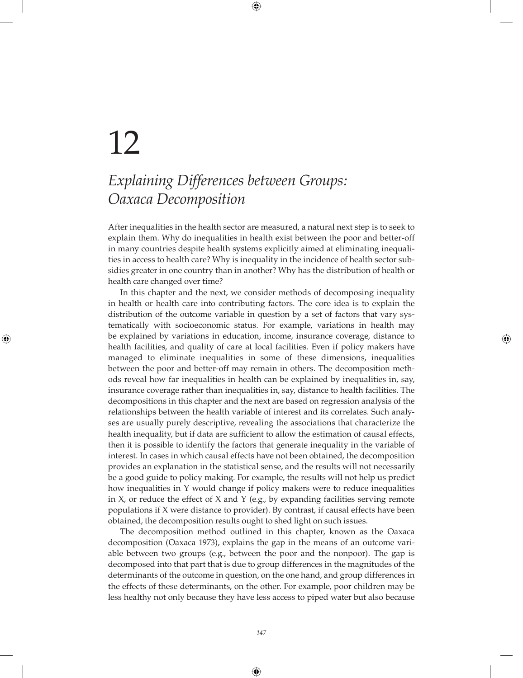# 12

# *Explaining Differences between Groups: Oaxaca Decomposition*

After inequalities in the health sector are measured, a natural next step is to seek to explain them. Why do inequalities in health exist between the poor and better-off in many countries despite health systems explicitly aimed at eliminating inequalities in access to health care? Why is inequality in the incidence of health sector subsidies greater in one country than in another? Why has the distribution of health or health care changed over time?

In this chapter and the next, we consider methods of decomposing inequality in health or health care into contributing factors. The core idea is to explain the distribution of the outcome variable in question by a set of factors that vary systematically with socioeconomic status. For example, variations in health may be explained by variations in education, income, insurance coverage, distance to health facilities, and quality of care at local facilities. Even if policy makers have managed to eliminate inequalities in some of these dimensions, inequalities between the poor and better-off may remain in others. The decomposition methods reveal how far inequalities in health can be explained by inequalities in, say, insurance coverage rather than inequalities in, say, distance to health facilities. The decompositions in this chapter and the next are based on regression analysis of the relationships between the health variable of interest and its correlates. Such analyses are usually purely descriptive, revealing the associations that characterize the health inequality, but if data are sufficient to allow the estimation of causal effects, then it is possible to identify the factors that generate inequality in the variable of interest. In cases in which causal effects have not been obtained, the decomposition provides an explanation in the statistical sense, and the results will not necessarily be a good guide to policy making. For example, the results will not help us predict how inequalities in Y would change if policy makers were to reduce inequalities in X, or reduce the effect of X and Y (e.g., by expanding facilities serving remote populations if X were distance to provider). By contrast, if causal effects have been obtained, the decomposition results ought to shed light on such issues.

The decomposition method outlined in this chapter, known as the Oaxaca decomposition (Oaxaca 1973), explains the gap in the means of an outcome variable between two groups (e.g., between the poor and the nonpoor). The gap is decomposed into that part that is due to group differences in the magnitudes of the determinants of the outcome in question, on the one hand, and group differences in the effects of these determinants, on the other. For example, poor children may be less healthy not only because they have less access to piped water but also because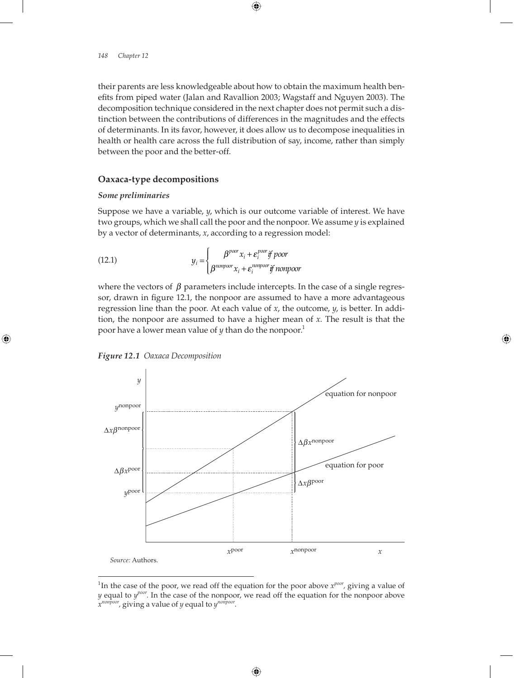their parents are less knowledgeable about how to obtain the maximum health benefits from piped water (Jalan and Ravallion 2003; Wagstaff and Nguyen 2003). The decomposition technique considered in the next chapter does not permit such a distinction between the contributions of differences in the magnitudes and the effects of determinants. In its favor, however, it does allow us to decompose inequalities in health or health care across the full distribution of say, income, rather than simply between the poor and the better-off.

# **Oaxaca-type decompositions**

# *Some preliminaries*

Suppose we have a variable, *y*, which is our outcome variable of interest. We have two groups, which we shall call the poor and the nonpoor. We assume *y* is explained by a vector of determinants, *x*, according to a regression model:

(12.1) 
$$
y_i = \begin{cases} \beta^{poor} x_i + \varepsilon_i^{poor} \text{ if } poor \\ \beta^{nonpoor} x_i + \varepsilon_i^{nonpoor} \text{ if } nonpoor \end{cases}
$$

where the vectors of  $\beta$  parameters include intercepts. In the case of a single regressor, drawn in figure 12.1, the nonpoor are assumed to have a more advantageous regression line than the poor. At each value of *x*, the outcome, *y*, is better. In addition, the nonpoor are assumed to have a higher mean of *x*. The result is that the poor have a lower mean value of *y* than do the nonpoor.<sup>1</sup>





<sup>&</sup>lt;sup>1</sup>In the case of the poor, we read off the equation for the poor above  $x^{poor}$ , giving a value of *y* equal to *ypoor*. In the case of the nonpoor, we read off the equation for the nonpoor above *xnonpoor,* giving a value of *y* equal to *ynonpoor*.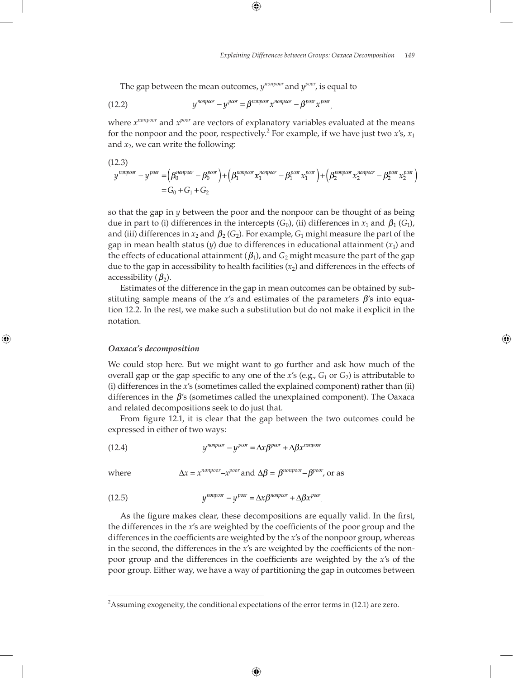The gap between the mean outcomes,  $y^{nonpoor}$  and  $y^{poor}$ , is equal to

(12.2) 
$$
y^{nonpoor} - y^{poor} = \beta^{nonpoor} x^{nonpoor} - \beta^{poor} x^{poor}.
$$

where *xnonpoor* and *xpoor* are vectors of explanatory variables evaluated at the means for the nonpoor and the poor, respectively.<sup>2</sup> For example, if we have just two  $x$ 's,  $x_1$ and  $x_2$ , we can write the following:

$$
(12.3)
$$
\n
$$
y^{nonpoor} - y^{poor} = (\beta_0^{nonpoor} - \beta_0^{poor}) + (\beta_1^{nonpoor} x_1^{nonpoor} - \beta_1^{poor} x_1^{poor}) + (\beta_2^{nonpoor} x_2^{nonpoor} - \beta_2^{poor} x_2^{poor})
$$
\n
$$
= G_0 + G_1 + G_2
$$

so that the gap in *y* between the poor and the nonpoor can be thought of as being due in part to (i) differences in the intercepts  $(G_0)$ , (ii) differences in  $x_1$  and  $\beta_1(G_1)$ , and (iii) differences in  $x_2$  and  $\beta_2(G_2)$ . For example,  $G_1$  might measure the part of the gap in mean health status  $(y)$  due to differences in educational attainment  $(x_1)$  and the effects of educational attainment  $(\beta_1)$ , and  $G_2$  might measure the part of the gap due to the gap in accessibility to health facilities  $(x_2)$  and differences in the effects of accessibility  $(\beta_2)$ .

Estimates of the difference in the gap in mean outcomes can be obtained by substituting sample means of the *x*'s and estimates of the parameters β's into equation 12.2. In the rest, we make such a substitution but do not make it explicit in the notation.

#### *Oaxaca's decomposition*

We could stop here. But we might want to go further and ask how much of the overall gap or the gap specific to any one of the  $x$ 's (e.g.,  $G_1$  or  $G_2$ ) is attributable to (i) differences in the *x*'s (sometimes called the explained component) rather than (ii) differences in the  $\beta$ 's (sometimes called the unexplained component). The Oaxaca and related decompositions seek to do just that.

From figure 12.1, it is clear that the gap between the two outcomes could be expressed in either of two ways:

(12.4) 
$$
y^{nonpoor} - y^{poor} = \Delta x \beta^{poor} + \Delta \beta x^{nonpoor}
$$

where  $\Delta x = x^{nonpoor} - x^{poor}$  and  $\Delta \beta = \beta^{nonpoor} - \beta^{poor}$ , or as

(12.5) 
$$
V^{nonpoor} - V^{poor} = \Delta x \beta^{nonpoor} + \Delta \beta x^{poor}.
$$

As the figure makes clear, these decompositions are equally valid. In the first, the differences in the *x*'s are weighted by the coefficients of the poor group and the differences in the coefficients are weighted by the *x*'s of the nonpoor group, whereas in the second, the differences in the *x*'s are weighted by the coefficients of the nonpoor group and the differences in the coefficients are weighted by the *x*'s of the poor group. Either way, we have a way of partitioning the gap in outcomes between

 $^2$ Assuming exogeneity, the conditional expectations of the error terms in (12.1) are zero.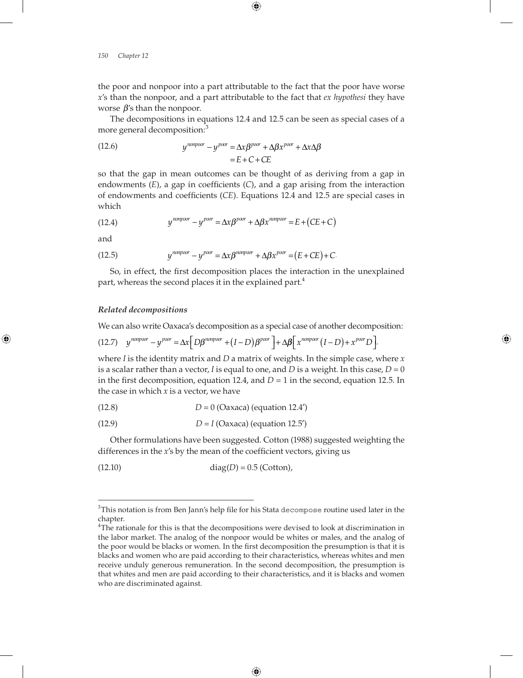the poor and nonpoor into a part attributable to the fact that the poor have worse *x*'s than the nonpoor, and a part attributable to the fact that *ex hypothesi* they have worse  $\beta$ 's than the nonpoor.

The decompositions in equations 12.4 and 12.5 can be seen as special cases of a more general decomposition:<sup>3</sup>

(12.6) 
$$
y^{nonpoor} - y^{poor} = \Delta x \beta^{poor} + \Delta \beta x^{poor} + \Delta x \Delta \beta
$$

$$
= E + C + CE
$$

so that the gap in mean outcomes can be thought of as deriving from a gap in endowments  $(E)$ , a gap in coefficients  $(C)$ , and a gap arising from the interaction of endowments and coefficients (*CE*). Equations 12.4 and 12.5 are special cases in which

(12.4) 
$$
y^{nonpoor} - y^{poor} = \Delta x \beta^{poor} + \Delta \beta x^{nonpoor} = E + (CE + C)
$$

and

(12.5) 
$$
y^{nonpoor} - y^{poor} = \Delta x \beta^{nonpoor} + \Delta \beta x^{poor} = (E + CE) + C.
$$

So, in effect, the first decomposition places the interaction in the unexplained part, whereas the second places it in the explained part.<sup>4</sup>

### *Related decompositions*

We can also write Oaxaca's decomposition as a special case of another decomposition:

,

$$
(12.7) \quad y^{nonpoor} - y^{poor} = \Delta x \Big[ D\beta^{nonpoor} + (I - D)\beta^{poor} \Big] + \Delta \beta \Big[ x^{nonpoor} (I - D) + x^{poor} D \Big]
$$

where *I* is the identity matrix and *D* a matrix of weights. In the simple case, where *x*  is a scalar rather than a vector, *I* is equal to one, and *D* is a weight. In this case,  $D = 0$ in the first decomposition, equation 12.4, and  $D = 1$  in the second, equation 12.5. In the case in which *x* is a vector, we have

(12.8) 
$$
D = 0
$$
 (Oaxaca) (equation 12.4')

$$
(12.9) \t\t D = I (Oaxaca) (equation 12.5')
$$

Other formulations have been suggested. Cotton (1988) suggested weighting the differences in the *x*'s by the mean of the coefficient vectors, giving us

(12.10) 
$$
diag(D) = 0.5
$$
 (Cottom),

 $^3$ This notation is from Ben Jann's help file for his Stata decompose routine used later in the chapter.

<sup>&</sup>lt;sup>4</sup>The rationale for this is that the decompositions were devised to look at discrimination in the labor market. The analog of the nonpoor would be whites or males, and the analog of the poor would be blacks or women. In the first decomposition the presumption is that it is blacks and women who are paid according to their characteristics, whereas whites and men receive unduly generous remuneration. In the second decomposition, the presumption is that whites and men are paid according to their characteristics, and it is blacks and women who are discriminated against.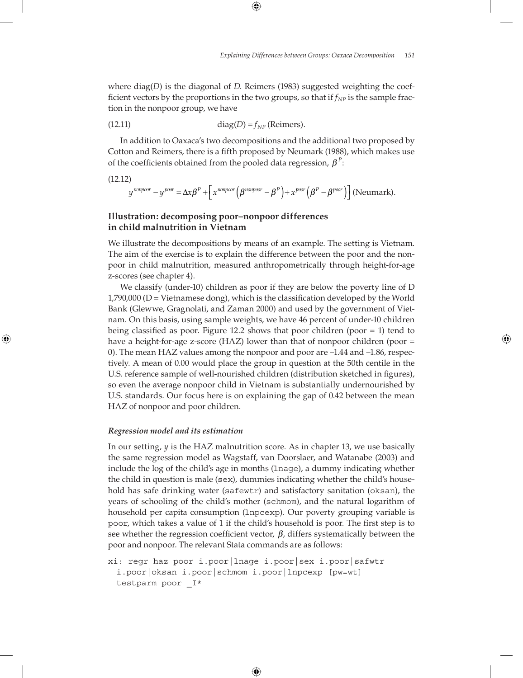where diag(*D*) is the diagonal of *D*. Reimers (1983) suggested weighting the coefficient vectors by the proportions in the two groups, so that if  $f_{NP}$  is the sample fraction in the nonpoor group, we have

(12.11) 
$$
diag(D) = f_{NP} \text{ (Reimens)}.
$$

In addition to Oaxaca's two decompositions and the additional two proposed by Cotton and Reimers, there is a fifth proposed by Neumark (1988), which makes use of the coefficients obtained from the pooled data regression,  $\beta^P$ :

(12.12)

$$
y^{nonpoor}-y^{poor}=\Delta x\beta^P+\left[x^{nonpoor}\left(\beta^{nonpoor}-\beta^P\right)+x^{poor}\left(\beta^P-\beta^{poor}\right)\right] \text{(Neumark)}.
$$

# **Illustration: decomposing poor–nonpoor differences in child malnutrition in Vietnam**

We illustrate the decompositions by means of an example. The setting is Vietnam. The aim of the exercise is to explain the difference between the poor and the nonpoor in child malnutrition, measured anthropometrically through height-for-age z-scores (see chapter 4).

We classify (under-10) children as poor if they are below the poverty line of D  $1,790,000$  (D = Vietnamese dong), which is the classification developed by the World Bank (Glewwe, Gragnolati, and Zaman 2000) and used by the government of Vietnam. On this basis, using sample weights, we have 46 percent of under-10 children being classified as poor. Figure 12.2 shows that poor children (poor  $= 1$ ) tend to have a height-for-age z-score (HAZ) lower than that of nonpoor children (poor  $=$ 0). The mean HAZ values among the nonpoor and poor are –1.44 and –1.86, respectively. A mean of 0.00 would place the group in question at the 50th centile in the U.S. reference sample of well-nourished children (distribution sketched in figures), so even the average nonpoor child in Vietnam is substantially undernourished by U.S. standards. Our focus here is on explaining the gap of 0.42 between the mean HAZ of nonpoor and poor children.

# *Regression model and its estimation*

In our setting, *y* is the HAZ malnutrition score. As in chapter 13, we use basically the same regression model as Wagstaff, van Doorslaer, and Watanabe (2003) and include the log of the child's age in months (lnage), a dummy indicating whether the child in question is male (sex), dummies indicating whether the child's household has safe drinking water (safewtr) and satisfactory sanitation (oksan), the years of schooling of the child's mother (schmom), and the natural logarithm of household per capita consumption (lnpcexp). Our poverty grouping variable is poor, which takes a value of 1 if the child's household is poor. The first step is to see whether the regression coefficient vector,  $\beta$ , differs systematically between the poor and nonpoor. The relevant Stata commands are as follows:

```
xi: regr haz poor i.poor|lnage i.poor|sex i.poor|safwtr 
 i.poor|oksan i.poor|schmom i.poor|lnpcexp [pw=wt]
testparm poor I^*
```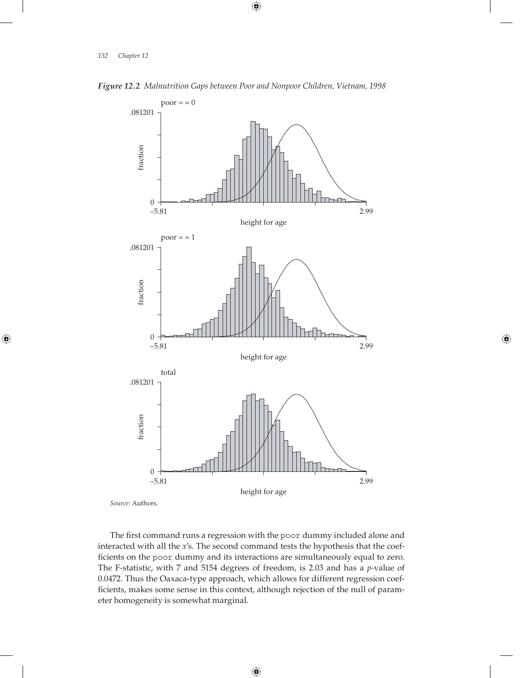



*Source:* Authors.

The first command runs a regression with the poor dummy included alone and interacted with all the *x*'s. The second command tests the hypothesis that the coefficients on the poor dummy and its interactions are simultaneously equal to zero. The F-statistic, with 7 and 5154 degrees of freedom, is 2.03 and has a *p*-value of 0.0472. Thus the Oaxaca-type approach, which allows for different regression coefficients, makes some sense in this context, although rejection of the null of parameter homogeneity is somewhat marginal.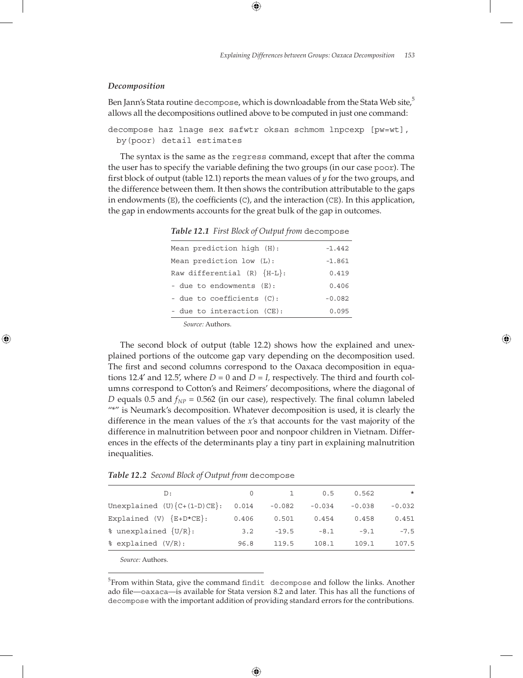#### *Decomposition*

Ben Jann's Stata routine decompose, which is downloadable from the Stata Web site, $5$ allows all the decompositions outlined above to be computed in just one command:

```
decompose haz lnage sex safwtr oksan schmom lnpcexp [pw=wt],
 by(poor) detail estimates
```
The syntax is the same as the regress command, except that after the comma the user has to specify the variable defining the two groups (in our case poor). The first block of output (table 12.1) reports the mean values of  $y$  for the two groups, and the difference between them. It then shows the contribution attributable to the gaps in endowments  $(E)$ , the coefficients  $(C)$ , and the interaction  $(CE)$ . In this application, the gap in endowments accounts for the great bulk of the gap in outcomes.

| Mean prediction high (H):          | $-1.442$ |
|------------------------------------|----------|
| Mean prediction low (L):           | $-1.861$ |
| Raw differential $(R)$ $\{H-L\}$ : | 0.419    |
| - due to endowments (E):           | 0.406    |
| - due to coefficients (C):         | $-0.082$ |
| - due to interaction (CE):         | 0.095    |

*Table 12.1 First Block of Output from* decompose

*Source:* Authors.

The second block of output (table 12.2) shows how the explained and unexplained portions of the outcome gap vary depending on the decomposition used. The first and second columns correspond to the Oaxaca decomposition in equations 12.4' and 12.5', where  $D = 0$  and  $D = I$ , respectively. The third and fourth columns correspond to Cotton's and Reimers' decompositions, where the diagonal of *D* equals 0.5 and  $f_{NP}$  = 0.562 (in our case), respectively. The final column labeled "\*" is Neumark's decomposition. Whatever decomposition is used, it is clearly the difference in the mean values of the *x*'s that accounts for the vast majority of the difference in malnutrition between poor and nonpoor children in Vietnam. Differences in the effects of the determinants play a tiny part in explaining malnutrition inequalities.

| Table 12.2 Second Block of Output from decompose |  |
|--------------------------------------------------|--|
|--------------------------------------------------|--|

| D:                             | $\Omega$ | $\mathbf{1}$ | 0.5      | 0.562    | $\star$  |
|--------------------------------|----------|--------------|----------|----------|----------|
| Unexplained $(U){C+(1-D)CE}$ : | 0.014    | $-0.082$     | $-0.034$ | $-0.038$ | $-0.032$ |
| Explained $(V) \{E+D*CE\}$ :   | 0.406    | 0.501        | 0.454    | 0.458    | 0.451    |
| % unexplained $\{U/R\}$ :      | 3.2      | $-19.5$      | $-8.1$   | $-9.1$   | $-7.5$   |
| % explained (V/R):             | 96.8     | 119.5        | 108.1    | 109.1    | 107.5    |
|                                |          |              |          |          |          |

*Source:* Authors.

 $5$ From within Stata, give the command findit decompose and follow the links. Another ado file—oaxaca—is available for Stata version 8.2 and later. This has all the functions of decompose with the important addition of providing standard errors for the contributions.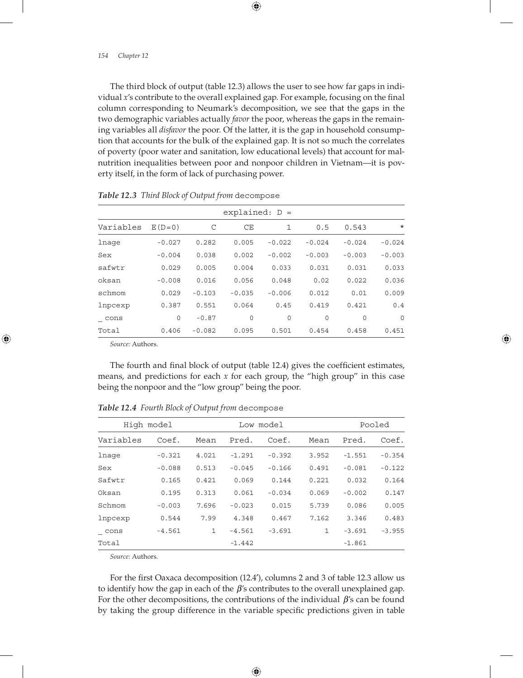The third block of output (table 12.3) allows the user to see how far gaps in individual *x*'s contribute to the overall explained gap. For example, focusing on the final column corresponding to Neumark's decomposition, we see that the gaps in the two demographic variables actually *favor* the poor, whereas the gaps in the remaining variables all *disfavor* the poor. Of the latter, it is the gap in household consumption that accounts for the bulk of the explained gap. It is not so much the correlates of poverty (poor water and sanitation, low educational levels) that account for malnutrition inequalities between poor and nonpoor children in Vietnam—it is poverty itself, in the form of lack of purchasing power.

| $explained: D =$ |          |          |             |          |             |          |          |  |
|------------------|----------|----------|-------------|----------|-------------|----------|----------|--|
| Variables        | $E(D=0)$ | C        | CE          | 1        | 0.5         | 0.543    | $\star$  |  |
| lnage            | $-0.027$ | 0.282    | 0.005       | $-0.022$ | $-0.024$    | $-0.024$ | $-0.024$ |  |
| Sex              | $-0.004$ | 0.038    | 0.002       | $-0.002$ | $-0.003$    | $-0.003$ | $-0.003$ |  |
| safwtr           | 0.029    | 0.005    | 0.004       | 0.033    | 0.031       | 0.031    | 0.033    |  |
| oksan            | $-0.008$ | 0.016    | 0.056       | 0.048    | 0.02        | 0.022    | 0.036    |  |
| schmom           | 0.029    | $-0.103$ | $-0.035$    | $-0.006$ | 0.012       | 0.01     | 0.009    |  |
| lnpcexp          | 0.387    | 0.551    | 0.064       | 0.45     | 0.419       | 0.421    | 0.4      |  |
| cons             | 0        | $-0.87$  | $\mathbf 0$ | 0        | $\mathbf 0$ | $\Omega$ | $\Omega$ |  |
| Total            | 0.406    | $-0.082$ | 0.095       | 0.501    | 0.454       | 0.458    | 0.451    |  |

*Table 12.3 Third Block of Output from* decompose

*Source:* Authors.

The fourth and final block of output (table 12.4) gives the coefficient estimates, means, and predictions for each *x* for each group, the "high group" in this case being the nonpoor and the "low group" being the poor.

| High model  |          | Low model |          |          |              | Pooled   |          |
|-------------|----------|-----------|----------|----------|--------------|----------|----------|
| Variables   | Coef.    | Mean      | Pred.    | Coef.    | Mean         | Pred.    | Coef.    |
| lnage       | $-0.321$ | 4.021     | $-1.291$ | $-0.392$ | 3.952        | $-1.551$ | $-0.354$ |
| Sex         | $-0.088$ | 0.513     | $-0.045$ | $-0.166$ | 0.491        | $-0.081$ | $-0.122$ |
| Safwtr      | 0.165    | 0.421     | 0.069    | 0.144    | 0.221        | 0.032    | 0.164    |
| Oksan       | 0.195    | 0.313     | 0.061    | $-0.034$ | 0.069        | $-0.002$ | 0.147    |
| Schmom      | $-0.003$ | 7.696     | $-0.023$ | 0.015    | 5.739        | 0.086    | 0.005    |
| lnpcexp     | 0.544    | 7.99      | 4.348    | 0.467    | 7.162        | 3.346    | 0.483    |
| $\_$ $\cos$ | $-4.561$ | 1         | $-4.561$ | $-3.691$ | $\mathbf{1}$ | $-3.691$ | $-3.955$ |
| Total       |          |           | $-1.442$ |          |              | $-1.861$ |          |

*Table 12.4 Fourth Block of Output from* decompose

*Source:* Authors.

For the first Oaxaca decomposition (12.4<sup>'</sup>), columns 2 and 3 of table 12.3 allow us to identify how the gap in each of the  $\beta$ 's contributes to the overall unexplained gap. For the other decompositions, the contributions of the individual  $\beta$ 's can be found by taking the group difference in the variable specific predictions given in table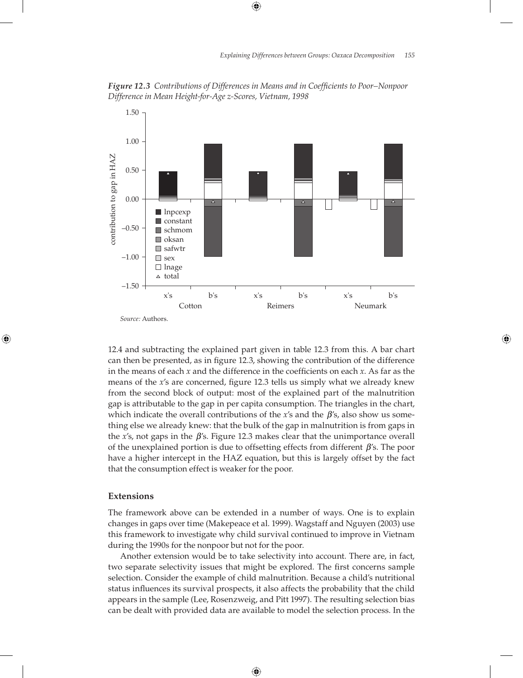*Figure 12.3 Contributions of Differences in Means and in Coefficients to Poor–Nonpoor Difference in Mean Height-for-Age z-Scores, Vietnam, 1998*



12.4 and subtracting the explained part given in table 12.3 from this. A bar chart can then be presented, as in figure 12.3, showing the contribution of the difference in the means of each  $x$  and the difference in the coefficients on each  $x$ . As far as the means of the *x*'s are concerned, figure 12.3 tells us simply what we already knew from the second block of output: most of the explained part of the malnutrition gap is attributable to the gap in per capita consumption. The triangles in the chart, which indicate the overall contributions of the *x*'s and the β's, also show us something else we already knew: that the bulk of the gap in malnutrition is from gaps in the  $x$ 's, not gaps in the  $\beta$ 's. Figure 12.3 makes clear that the unimportance overall of the unexplained portion is due to offsetting effects from different  $\beta$ 's. The poor have a higher intercept in the HAZ equation, but this is largely offset by the fact that the consumption effect is weaker for the poor.

# **Extensions**

The framework above can be extended in a number of ways. One is to explain changes in gaps over time (Makepeace et al. 1999). Wagstaff and Nguyen (2003) use this framework to investigate why child survival continued to improve in Vietnam during the 1990s for the nonpoor but not for the poor.

Another extension would be to take selectivity into account. There are, in fact, two separate selectivity issues that might be explored. The first concerns sample selection. Consider the example of child malnutrition. Because a child's nutritional status influences its survival prospects, it also affects the probability that the child appears in the sample (Lee, Rosenzweig, and Pitt 1997). The resulting selection bias can be dealt with provided data are available to model the selection process. In the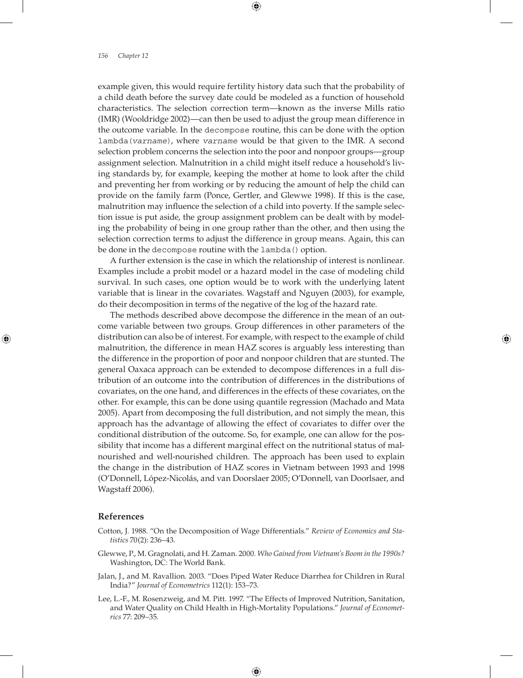example given, this would require fertility history data such that the probability of a child death before the survey date could be modeled as a function of household characteristics. The selection correction term—known as the inverse Mills ratio (IMR) (Wooldridge 2002)—can then be used to adjust the group mean difference in the outcome variable. In the decompose routine, this can be done with the option lambda(*varname*), where *varname* would be that given to the IMR. A second selection problem concerns the selection into the poor and nonpoor groups—group assignment selection. Malnutrition in a child might itself reduce a household's living standards by, for example, keeping the mother at home to look after the child and preventing her from working or by reducing the amount of help the child can provide on the family farm (Ponce, Gertler, and Glewwe 1998). If this is the case, malnutrition may influence the selection of a child into poverty. If the sample selection issue is put aside, the group assignment problem can be dealt with by modeling the probability of being in one group rather than the other, and then using the selection correction terms to adjust the difference in group means. Again, this can be done in the decompose routine with the lambda() option.

A further extension is the case in which the relationship of interest is nonlinear. Examples include a probit model or a hazard model in the case of modeling child survival. In such cases, one option would be to work with the underlying latent variable that is linear in the covariates. Wagstaff and Nguyen (2003), for example, do their decomposition in terms of the negative of the log of the hazard rate.

The methods described above decompose the difference in the mean of an outcome variable between two groups. Group differences in other parameters of the distribution can also be of interest. For example, with respect to the example of child malnutrition, the difference in mean HAZ scores is arguably less interesting than the difference in the proportion of poor and nonpoor children that are stunted. The general Oaxaca approach can be extended to decompose differences in a full distribution of an outcome into the contribution of differences in the distributions of covariates, on the one hand, and differences in the effects of these covariates, on the other. For example, this can be done using quantile regression (Machado and Mata 2005). Apart from decomposing the full distribution, and not simply the mean, this approach has the advantage of allowing the effect of covariates to differ over the conditional distribution of the outcome. So, for example, one can allow for the possibility that income has a different marginal effect on the nutritional status of malnourished and well-nourished children. The approach has been used to explain the change in the distribution of HAZ scores in Vietnam between 1993 and 1998 (O'Donnell, López-Nicolás, and van Doorslaer 2005; O'Donnell, van Doorlsaer, and Wagstaff 2006).

# **References**

- Cotton, J. 1988. "On the Decomposition of Wage Differentials." *Review of Economics and Statistics* 70(2): 236–43.
- Glewwe, P., M. Gragnolati, and H. Zaman. 2000. *Who Gained from Vietnam's Boom in the 1990s?*  Washington, DC: The World Bank.
- Jalan, J., and M. Ravallion. 2003. "Does Piped Water Reduce Diarrhea for Children in Rural India?" *Journal of Econometrics* 112(1): 153–73.
- Lee, L.-F., M. Rosenzweig, and M. Pitt. 1997. "The Effects of Improved Nutrition, Sanitation, and Water Quality on Child Health in High-Mortality Populations." *Journal of Econometrics* 77: 209–35.